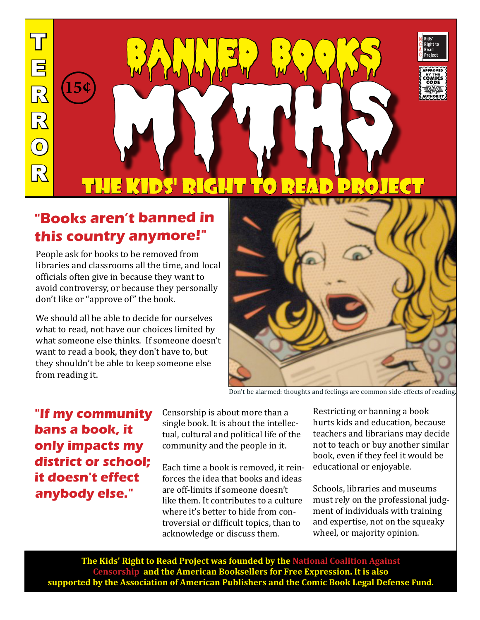$\overline{\mathbf{u}}$ E R R  $\boxed{0}$ R

la de la construcción de la construcción de la construcción de la construcción de la construcción de la constr<br>En la construcción de la construcción de la construcción de la construcción de la construcción de la construcc



## **"Books aren't banned in this country anymore!"**

People ask for books to be removed from libraries and classrooms all the time, and local officials often give in because they want to avoid controversy, or because they personally don't like or "approve of" the book.

We should all be able to decide for ourselves what to read, not have our choices limited by what someone else thinks. If someone doesn't want to read a book, they don't have to, but they shouldn't be able to keep someone else from reading it.



Don't be alarmed: thoughts and feelings are common side-effects of reading.

**"If my community bans a book, it only impacts my district or school; it doesn't effect anybody else."**

Censorship is about more than a single book. It is about the intellectual, cultural and political life of the community and the people in it.

Each time a book is removed, it reinforces the idea that books and ideas are off-limits if someone doesn't like them. It contributes to a culture where it's better to hide from controversial or difficult topics, than to acknowledge or discuss them.

Restricting or banning a book hurts kids and education, because teachers and librarians may decide not to teach or buy another similar book, even if they feel it would be educational or enjoyable.

Schools, libraries and museums must rely on the professional judgment of individuals with training and expertise, not on the squeaky wheel, or majority opinion.

**The Kids' Right to Read Project was founded by the National Coalition Against Censorship and the American Booksellers for Free Expression. It is also supported by the Association of American Publishers and the Comic Book Legal Defense Fund.**